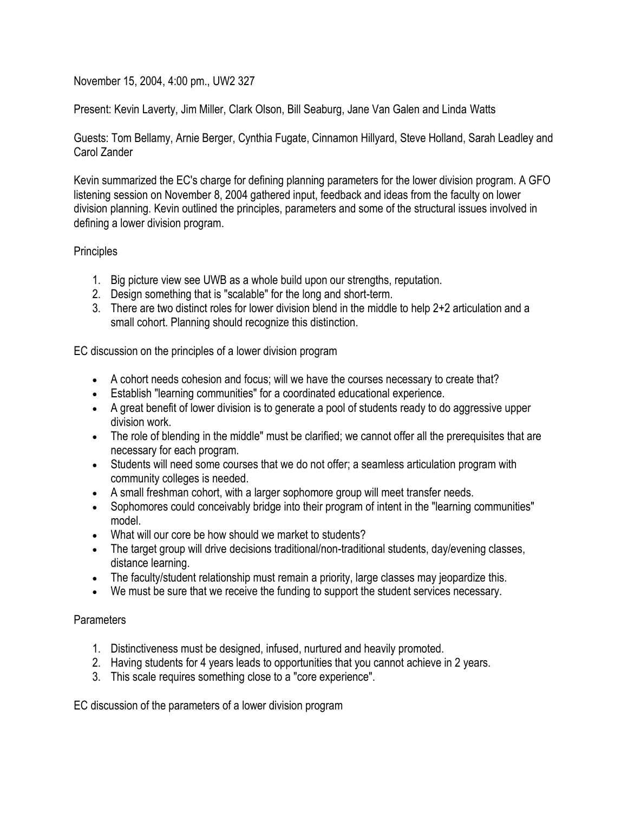November 15, 2004, 4:00 pm., UW2 327

Present: Kevin Laverty, Jim Miller, Clark Olson, Bill Seaburg, Jane Van Galen and Linda Watts

Guests: Tom Bellamy, Arnie Berger, Cynthia Fugate, Cinnamon Hillyard, Steve Holland, Sarah Leadley and Carol Zander

Kevin summarized the EC's charge for defining planning parameters for the lower division program. A GFO listening session on November 8, 2004 gathered input, feedback and ideas from the faculty on lower division planning. Kevin outlined the principles, parameters and some of the structural issues involved in defining a lower division program.

## **Principles**

- 1. Big picture view see UWB as a whole build upon our strengths, reputation.
- 2. Design something that is "scalable" for the long and short-term.
- 3. There are two distinct roles for lower division blend in the middle to help 2+2 articulation and a small cohort. Planning should recognize this distinction.

EC discussion on the principles of a lower division program

- A cohort needs cohesion and focus; will we have the courses necessary to create that?
- Establish "learning communities" for a coordinated educational experience.
- A great benefit of lower division is to generate a pool of students ready to do aggressive upper division work.
- The role of blending in the middle" must be clarified; we cannot offer all the prerequisites that are necessary for each program.
- Students will need some courses that we do not offer; a seamless articulation program with community colleges is needed.
- A small freshman cohort, with a larger sophomore group will meet transfer needs.
- Sophomores could conceivably bridge into their program of intent in the "learning communities" model.
- What will our core be how should we market to students?
- The target group will drive decisions traditional/non-traditional students, day/evening classes, distance learning.
- The faculty/student relationship must remain a priority, large classes may jeopardize this.
- We must be sure that we receive the funding to support the student services necessary.

## **Parameters**

- 1. Distinctiveness must be designed, infused, nurtured and heavily promoted.
- 2. Having students for 4 years leads to opportunities that you cannot achieve in 2 years.
- 3. This scale requires something close to a "core experience".

EC discussion of the parameters of a lower division program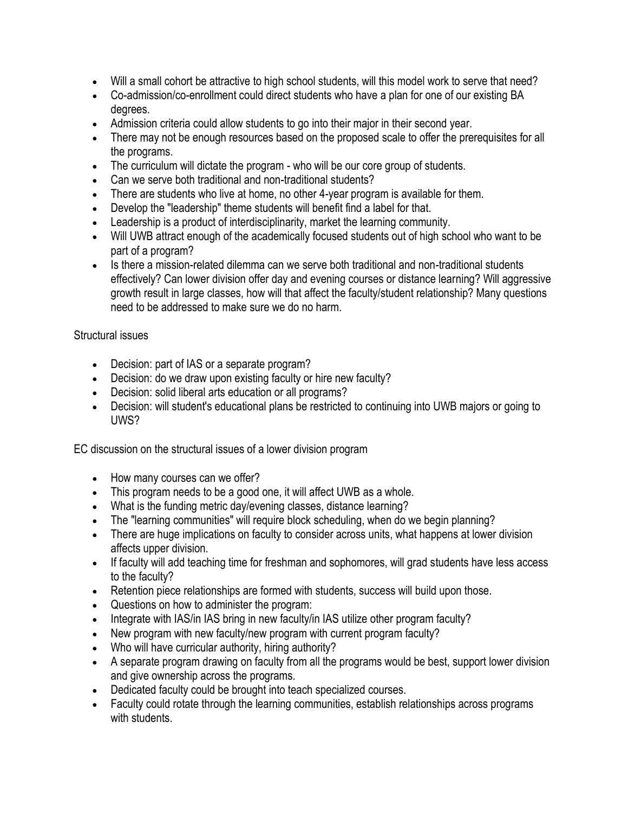- Will a small cohort be attractive to high school students, will this model work to serve that need?
- Co-admission/co-enrollment could direct students who have a plan for one of our existing BA degrees.
- Admission criteria could allow students to go into their major in their second year.
- There may not be enough resources based on the proposed scale to offer the prerequisites for all the programs.
- The curriculum will dictate the program who will be our core group of students.
- Can we serve both traditional and non-traditional students?
- There are students who live at home, no other 4-year program is available for them.
- Develop the "leadership" theme students will benefit find a label for that.
- Leadership is a product of interdisciplinarity, market the learning community.
- Will UWB attract enough of the academically focused students out of high school who want to be part of a program?
- Is there a mission-related dilemma can we serve both traditional and non-traditional students effectively? Can lower division offer day and evening courses or distance learning? Will aggressive growth result in large classes, how will that affect the faculty/student relationship? Many questions need to be addressed to make sure we do no harm.

## Structural issues

- Decision: part of IAS or a separate program?
- Decision: do we draw upon existing faculty or hire new faculty?
- Decision: solid liberal arts education or all programs?
- Decision: will student's educational plans be restricted to continuing into UWB majors or going to UWS?

EC discussion on the structural issues of a lower division program

- How many courses can we offer?
- This program needs to be a good one, it will affect UWB as a whole.
- What is the funding metric day/evening classes, distance learning?
- The "learning communities" will require block scheduling, when do we begin planning?
- There are huge implications on faculty to consider across units, what happens at lower division affects upper division.
- If faculty will add teaching time for freshman and sophomores, will grad students have less access to the faculty?
- Retention piece relationships are formed with students, success will build upon those.
- Questions on how to administer the program:
- Integrate with IAS/in IAS bring in new faculty/in IAS utilize other program faculty?
- New program with new faculty/new program with current program faculty?
- Who will have curricular authority, hiring authority?
- A separate program drawing on faculty from all the programs would be best, support lower division and give ownership across the programs.
- Dedicated faculty could be brought into teach specialized courses.
- Faculty could rotate through the learning communities, establish relationships across programs with students.